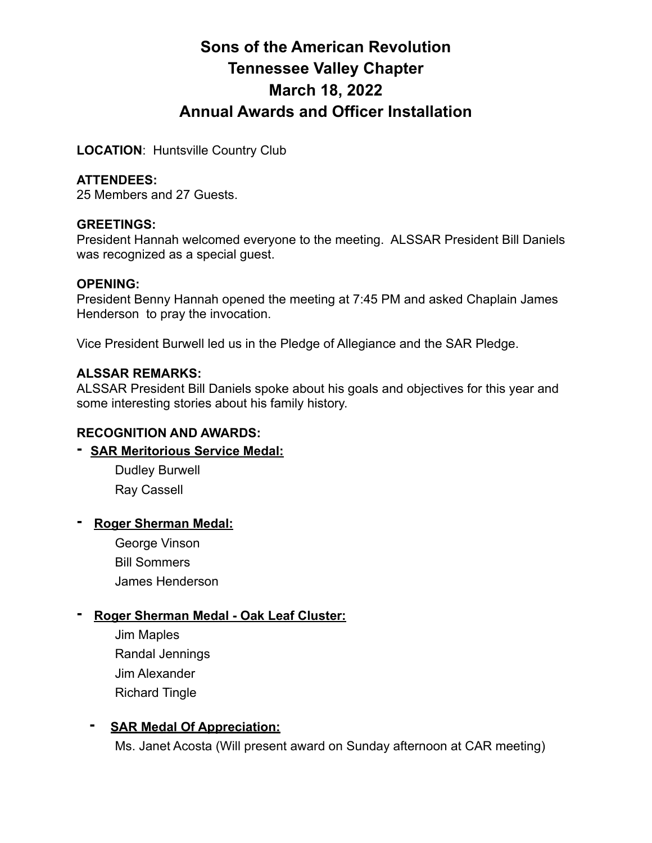# **Sons of the American Revolution Tennessee Valley Chapter March 18, 2022 Annual Awards and Officer Installation**

**LOCATION**: Huntsville Country Club

# **ATTENDEES:**

25 Members and 27 Guests.

#### **GREETINGS:**

President Hannah welcomed everyone to the meeting. ALSSAR President Bill Daniels was recognized as a special guest.

#### **OPENING:**

President Benny Hannah opened the meeting at 7:45 PM and asked Chaplain James Henderson to pray the invocation.

Vice President Burwell led us in the Pledge of Allegiance and the SAR Pledge.

#### **ALSSAR REMARKS:**

ALSSAR President Bill Daniels spoke about his goals and objectives for this year and some interesting stories about his family history.

# **RECOGNITION AND AWARDS:**

# **- SAR Meritorious Service Medal:**

Dudley Burwell Ray Cassell

# **- Roger Sherman Medal:**

George Vinson Bill Sommers James Henderson

# **- Roger Sherman Medal - Oak Leaf Cluster:**

Jim Maples Randal Jennings Jim Alexander Richard Tingle

# **- SAR Medal Of Appreciation:**

Ms. Janet Acosta (Will present award on Sunday afternoon at CAR meeting)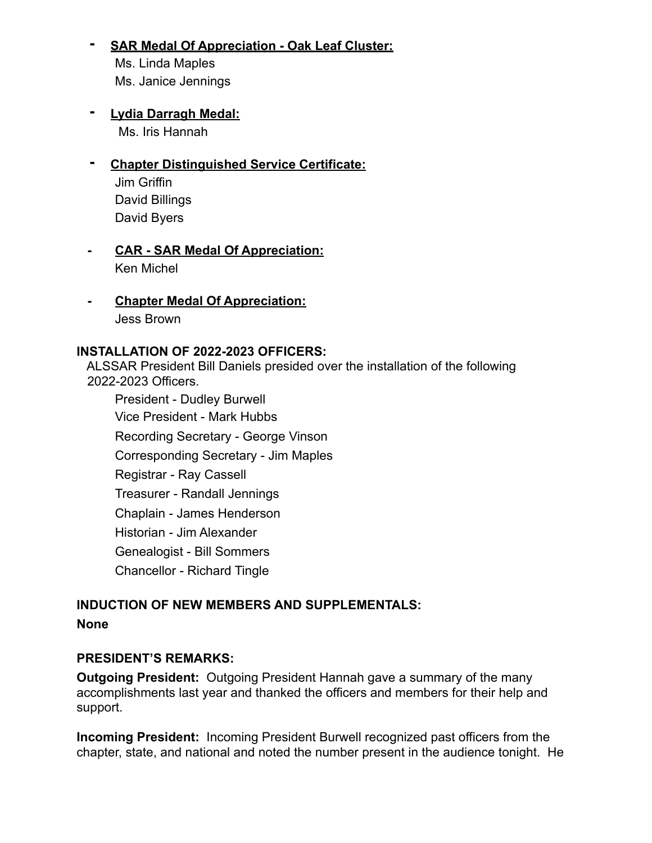# **- SAR Medal Of Appreciation - Oak Leaf Cluster:**

Ms. Linda Maples Ms. Janice Jennings

# **- Lydia Darragh Medal:**

Ms. Iris Hannah

# **- Chapter Distinguished Service Certificate:**

Jim Griffin David Billings David Byers

# **CAR - SAR Medal Of Appreciation:** Ken Michel

 **- Chapter Medal Of Appreciation:** Jess Brown

#### **INSTALLATION OF 2022-2023 OFFICERS:**

ALSSAR President Bill Daniels presided over the installation of the following 2022-2023 Officers.

President - Dudley Burwell Vice President - Mark Hubbs Recording Secretary - George Vinson Corresponding Secretary - Jim Maples Registrar - Ray Cassell Treasurer - Randall Jennings Chaplain - James Henderson Historian - Jim Alexander Genealogist - Bill Sommers Chancellor - Richard Tingle

# **INDUCTION OF NEW MEMBERS AND SUPPLEMENTALS: None**

# **PRESIDENT'S REMARKS:**

**Outgoing President:** Outgoing President Hannah gave a summary of the many accomplishments last year and thanked the officers and members for their help and support.

**Incoming President:** Incoming President Burwell recognized past officers from the chapter, state, and national and noted the number present in the audience tonight. He